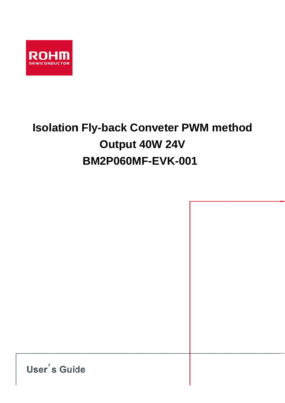

# **Isolation Fly-back Conveter PWM method** Output 40W 24V **BM2P060MF-EVK-001**

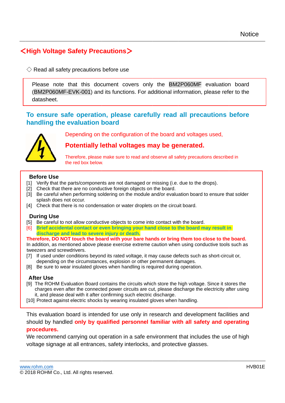# <High Voltage Safety Precautions>

 $\Diamond$  Read all safety precautions before use

Please note that this document covers only the BM2P060MF evaluation board (BM2P060MF-EVK-001) and its functions. For additional information, please refer to the datasheet.

## To ensure safe operation, please carefully read all precautions before handling the evaluation board

Depending on the configuration of the board and voltages used.

## Potentially lethal voltages may be generated.

Therefore, please make sure to read and observe all safety precautions described in the red box below.

#### **Before Use**

- [1] Verify that the parts/components are not damaged or missing (i.e. due to the drops).
- [2] Check that there are no conductive foreign objects on the board.
- [3] Be careful when performing soldering on the module and/or evaluation board to ensure that solder splash does not occur.
- [4] Check that there is no condensation or water droplets on the circuit board.

#### **During Use**

- [5] Be careful to not allow conductive objects to come into contact with the board.
- Brief accidental contact or even bringing your hand close to the board may result in  $[6]$ discharge and lead to severe injury or death.

Therefore, DO NOT touch the board with your bare hands or bring them too close to the board. In addition, as mentioned above please exercise extreme caution when using conductive tools such as tweezers and screwdrivers.

- [7] If used under conditions beyond its rated voltage, it may cause defects such as short-circuit or, depending on the circumstances, explosion or other permanent damages.
- [8] Be sure to wear insulated gloves when handling is required during operation.

#### **After Use**

- [9] The ROHM Evaluation Board contains the circuits which store the high voltage. Since it stores the charges even after the connected power circuits are cut, please discharge the electricity after using it, and please deal with it after confirming such electric discharge.
- [10] Protect against electric shocks by wearing insulated gloves when handling.

This evaluation board is intended for use only in research and development facilities and should by handled only by qualified personnel familiar with all safety and operating procedures.

We recommend carrying out operation in a safe environment that includes the use of high voltage signage at all entrances, safety interlocks, and protective glasses.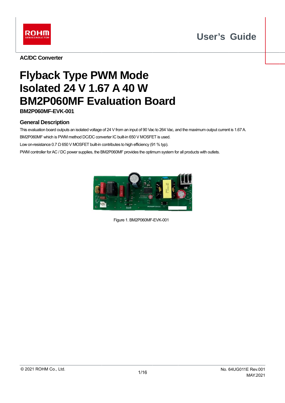



**AC/DC Converter** 

# **Flyback Type PWM Mode Isolated 24 V 1.67 A 40 W BM2P060MF Evaluation Board**

**BM2P060MF-EVK-001** 

### **General Description**

This evaluation board outputs an isolated voltage of 24 V from an input of 90 Vac to 264 Vac, and the maximum output current is 1.67 A.

BM2P060MF which is PWM method DC/DC converter IC built-in 650 V MOSFET is used.

Low on-resistance 0.7  $\Omega$  650 V MOSFET built-in contributes to high efficiency (91 % typ).

PWM controller for AC / DC power supplies, the BM2P060MF provides the optimum system for all products with outlets.



Figure 1. BM2P060MF-EVK-001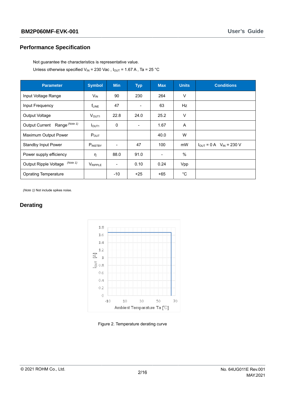#### **Performance Specification**

Not guarantee the characteristics is representative value.

Unless otherwise specified  $V_{IN}$  = 230 Vac,  $I_{OUT}$  = 1.67 A, Ta = 25 °C

| <b>Parameter</b>                         | <b>Symbol</b>     | <b>Min</b>                   | <b>Typ</b>               | <b>Max</b> | <b>Units</b> | <b>Conditions</b>                |
|------------------------------------------|-------------------|------------------------------|--------------------------|------------|--------------|----------------------------------|
| Input Voltage Range                      | $V_{IN}$          | 90                           | 230                      | 264        | V            |                                  |
| Input Frequency<br>$f_{LINE}$            |                   | 47                           | $\overline{\phantom{a}}$ | 63         | Hz           |                                  |
| Output Voltage                           | V <sub>OUT1</sub> | 22.8                         | 24.0                     | 25.2       | V            |                                  |
| Output Current Range (Note 1)            | I <sub>OUT1</sub> | 0                            | $\blacksquare$           | 1.67       | A            |                                  |
| Maximum Output Power                     | $P_{OUT}$         |                              |                          | 40.0       | W            |                                  |
| <b>Standby Input Power</b>               | PINSTBY           | $\overline{a}$               | 47                       | 100        | mW           | $I_{OUT} = 0 A$ $V_{IN} = 230 V$ |
| Power supply efficiency                  | η                 | 88.0                         | 91.0                     | ۰          | $\%$         |                                  |
| (Note 1)<br><b>Output Ripple Voltage</b> | VRIPPLE           | $\qquad \qquad \blacksquare$ | 0.10                     | 0.24       | Vpp          |                                  |
| <b>Oprating Temperature</b>              |                   | $-10$                        | $+25$                    | $+65$      | $^{\circ}$ C |                                  |

(Note 1) Not include spikes noise.

### **Derating**



Figure 2. Temperature derating curve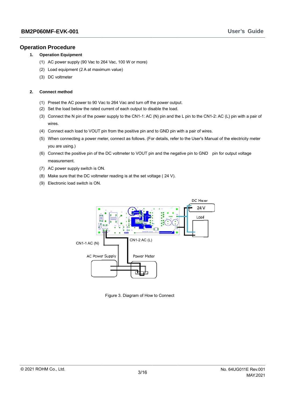#### **Operation Procedure**

#### $1.$ **Operation Equipment**

- (1) AC power supply (90 Vac to 264 Vac, 100 W or more)
- (2) Load equipment (2 A at maximum value)
- (3) DC voltmeter

#### $2.$ **Connect method**

- (1) Preset the AC power to 90 Vac to 264 Vac and turn off the power output.
- (2) Set the load below the rated current of each output to disable the load.
- (3) Connect the N pin of the power supply to the CN1-1: AC (N) pin and the L pin to the CN1-2: AC (L) pin with a pair of wires.
- (4) Connect each load to VOUT pin from the positive pin and to GND pin with a pair of wires.
- (5) When connecting a power meter, connect as follows. (For details, refer to the User's Manual of the electricity meter you are using.)
- (6) Connect the positive pin of the DC voltmeter to VOUT pin and the negative pin to GND pin for output voltage measurement.
- (7) AC power supply switch is ON.
- (8) Make sure that the DC voltmeter reading is at the set voltage (24 V).
- (9) Electronic load switch is ON.



Figure 3. Diagram of How to Connect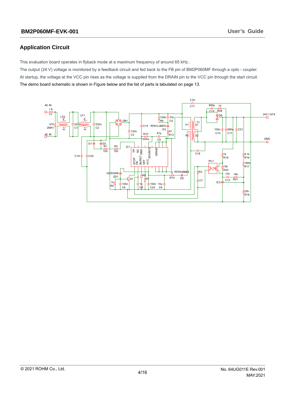### **Application Circuit**

This evaluation board operates in flyback mode at a maximum frequency of around 65 kHz..

The output (24 V) voltage is monitored by a feedback circuit and fed back to the FB pin of BM2P060MF through a opto - coupler. At startup, the voltage at the VCC pin rises as the voltage is supplied from the DRAIN pin to the VCC pin through the start circuit. The demo board schematic is shown in Figure below and the list of parts is tabulated on page 13.

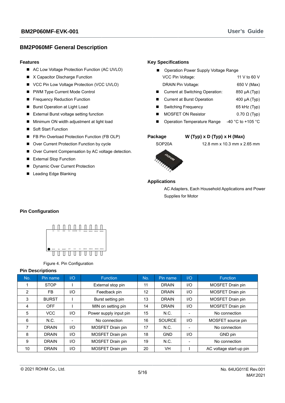#### **BM2P060MF General Description**

#### **Features**

- AC Low Voltage Protection Function (AC UVLO)
- X Capacitor Discharge Function
- VCC Pin Low Voltage Protection (VCC UVLO)
- PWM Type Current Mode Control
- Frequency Reduction Function
- Burst Operation at Light Load
- External Burst voltage setting function
- Minimum ON width adjustment at light load
- Soft Start Function
- FB Pin Overload Protection Function (FB OLP)
- Over Current Protection Function by cycle
- Over Current Compensation by AC voltage detection.
- External Stop Function
- Dynamic Over Current Protection
- Leading Edge Blanking

#### **Key Specifications**

| Operation Power Supply Voltage Range |                     |
|--------------------------------------|---------------------|
| VCC Pin Voltage:                     | 11 V to 60 V        |
| DRAIN Pin Voltage:                   | 650 V (Max)         |
| Current at Switching Operation:      | 850 µA (Typ)        |
| <b>Current at Burst Operation</b>    | 400 µA (Typ)        |
| Switching Frequency                  | 65 kHz (Typ)        |
| <b>MOSFET ON Resistor</b>            | $0.70 \Omega$ (Typ) |
|                                      |                     |

**Operation Temperature Range**  $\blacksquare$ -40 °C to +105 °C

#### Package

## W (Typ) x D (Typ) x H (Max)

SOP20A

#### 12.8 mm x 10.3 mm x 2.65 mm



#### **Applications**

AC Adapters, Each Household Applications and Power Supplies for Motor

#### **Pin Configuration**



Figure 4. Pin Configuration

#### **Pin Descriptions**

| No. | Pin name     | I/O | <b>Function</b>                | No.      | Pin name      | I/O | Function                |
|-----|--------------|-----|--------------------------------|----------|---------------|-----|-------------------------|
|     | <b>STOP</b>  |     | External stop pin              | 11       | <b>DRAIN</b>  | 1/O | MOSFET Drain pin        |
| 2   | FB.          | I/O | Feedback pin                   | 12       | <b>DRAIN</b>  | 1/O | MOSFET Drain pin        |
| 3   | <b>BURST</b> |     | Burst setting pin              | 13       | <b>DRAIN</b>  | 1/O | MOSFET Drain pin        |
| 4   | <b>OFF</b>   |     | MIN on setting pin             | 14       | <b>DRAIN</b>  | 1/O | MOSFET Drain pin        |
| 5   | <b>VCC</b>   | 1/O | Power supply input pin         | 15       | N.C.          |     | No connection           |
| 6   | N.C.         |     | No connection                  | 16       | <b>SOURCE</b> | 1/O | MOSFET source pin       |
| 7   | <b>DRAIN</b> | 1/O | MOSFET Drain pin               | 17       | N.C.          |     | No connection           |
| 8   | <b>DRAIN</b> | I/O | MOSFET Drain pin               | 18       | <b>GND</b>    | 1/O | GND pin                 |
| 9   | <b>DRAIN</b> | I/O | MOSFET Drain pin<br>N.C.<br>19 |          | No connection |     |                         |
| 10  | <b>DRAIN</b> | 1/O | MOSFET Drain pin               | 20<br>VH |               |     | AC voltage start-up pin |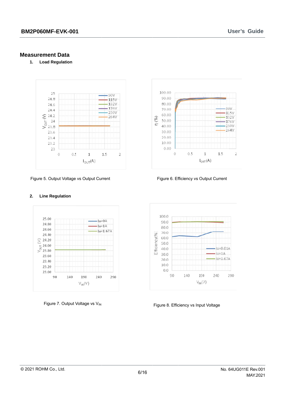#### **Measurement Data**

 $2.$ 

 $\overline{1}$ . **Load Regulation** 



Figure 5. Output Voltage vs Output Current

**Line Regulation** 



Figure 6. Efficiency vs Output Current



Figure 7. Output Voltage vs V<sub>IN</sub>



Figure 8. Efficiency vs Input Voltage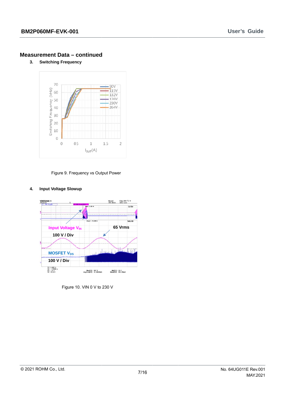$3<sub>l</sub>$ **Switching Frequency** 



Figure 9. Frequency vs Output Power

#### 4. **Input Voltage Slowup**



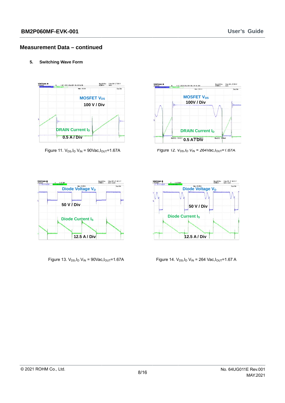$5<sub>1</sub>$ **Switching Wave Form** 



Figure 11.  $V_{DS}$ ,  $I_D V_{IN} = 90$ Vac,  $I_{OUT} = 1.67$ A



Figure 12.  $V_{DS}$ ,  $I_D V_{IN} = 264 V_{AC}$ ,  $I_{OUT} = 1.67 A$ 



Figure 13.  $V_{DS}$ ,  $I_D V_{IN}$  = 90Vac,  $I_{OUT}$ =1.67A



Figure 14.  $V_{DS}$ ,  $I_D V_{IN}$  = 264 Vac,  $I_{OUT}$ = 1.67 A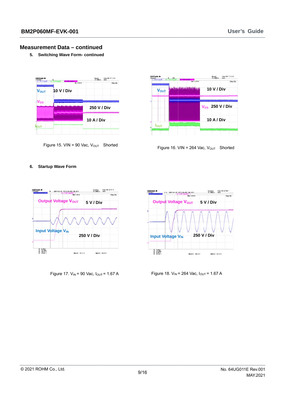5. Switching Wave Form- continued







Figure 16. VIN = 264 Vac,  $V_{OUT}$  Shorted

#### 6. Startup Wave Form



Figure 17.  $V_{IN}$  = 90 Vac,  $I_{OUT}$  = 1.67 A



Figure 18.  $V_{IN}$  = 264 Vac,  $I_{OUT}$  = 1.67 A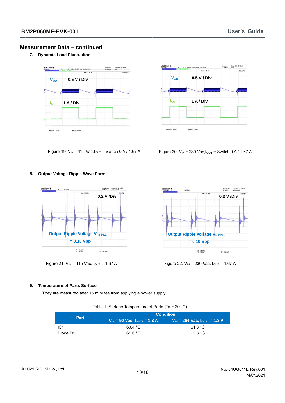7. Dynamic Load Fluctuation





Figure 19.  $V_{IN}$  = 115 Vac,  $I_{OUT}$  = Switch 0 A / 1.67 A

Figure 20.  $V_{IN}$  = 230 Vac,  $I_{OUT}$  = Switch 0 A / 1.67 A

#### 8. Output Voltage Ripple Wave Form



Figure 21.  $V_{IN}$  = 115 Vac,  $I_{OUT}$  = 1.67 A



Figure 22. V<sub>IN</sub> = 230 Vac, I<sub>OUT</sub> = 1.67 A

#### 9. Temperature of Parts Surface

They are measured after 15 minutes from applying a power supply.

| Table 1. Surface Temperature of Parts (Ta = 20 °C) |  |
|----------------------------------------------------|--|

|             | <b>Condition</b>                      |                                        |  |  |  |
|-------------|---------------------------------------|----------------------------------------|--|--|--|
| <b>Part</b> | $V_{IN}$ = 90 Vac, $I_{OUT1}$ = 1.3 A | $V_{IN}$ = 264 Vac, $I_{OUT1}$ = 1.3 A |  |  |  |
| IC1         | 60.4 °C                               | 61.3 °C                                |  |  |  |
| Diode D1    | 61.6 °C                               | 62.3 °C                                |  |  |  |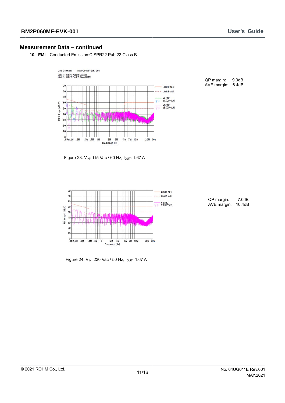10. EMI Conducted Emission:CISPR22 Pub 22 Class B



QP margin:  $9.0dB$ AVE margin: 6.4dB

Figure 23. VIN: 115 Vac / 60 Hz, IOUT: 1.67 A



Figure 24. V<sub>IN</sub>: 230 Vac / 50 Hz, I<sub>OUT</sub>: 1.67 A

| QP margin:  | 7.0dB  |
|-------------|--------|
| AVF margin: | 10.4dB |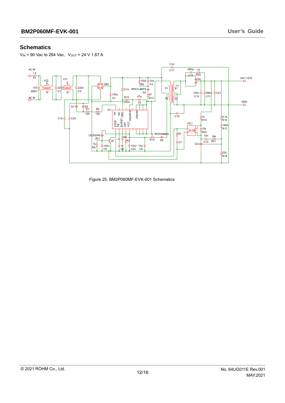#### **Schematics**

 $V_{IN}$  = 90 Vac to 264 Vac,  $V_{OUT}$  = 24 V 1.67 A



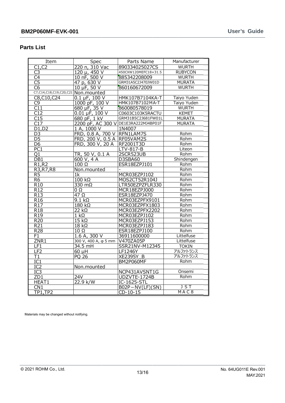#### **Pa arts List**

| <b>12P060MF-EVK-001</b>                  |                             |                                      |                    |
|------------------------------------------|-----------------------------|--------------------------------------|--------------------|
| rts List                                 |                             |                                      |                    |
| Item                                     | Spec                        | Parts Name                           | Manufacturer       |
| C1, C2                                   | 220 n, 310 Vac              | 890334025027CS                       | <b>WURTH</b>       |
| C <sub>3</sub>                           | 120 µ, 450 V                | 450CXW120MEFC18×31.5                 | <b>RUBYCON</b>     |
| $\overline{C4}$                          | 10 nF, 500 V                | 885342208009                         | <b>WURTH</b>       |
| C <sub>5</sub>                           | 47 p, 630 V                 | GRM31A5C2J470JW01D                   | <b>MURATA</b>      |
| C <sub>6</sub>                           | 10 µF, 50 V                 | 860160672009                         | <b>WURTH</b>       |
| C7, C14, C18, C19, C20, C21 Non. mounted |                             |                                      |                    |
| $\overline{C8}$ , C10, C24               | $\overline{0.1}$ µF, 100 V  | HMK107B7104KA-T                      | Taiyo Yuden        |
| C <sub>9</sub>                           | 1000 pF, 100 V              | HMK107B7102MA-T                      | Taiyo Yuden        |
| $\overline{C11}$                         | 680 µF, 35 V                | 860080578019                         | <b>WURTH</b>       |
| C12                                      | $0.01 \,\mu F$ , 100 V      | C0603C103K5RACTU                     | <b>KEMET</b>       |
| C15                                      | 680 pF, 1 kV                | GRM31B5C2J681FW01L                   | <b>MURATA</b>      |
| C17                                      |                             | 2200 pF, AC 300 V DE1E3RA222MJ4BP01F | <b>MURATA</b>      |
| D1.D2                                    | 1 A, 1000 V                 | 1N4007                               |                    |
| D <sub>3</sub>                           | FRD, 0.8 A, 700 V RFN1LAM7S |                                      | Rohm               |
| D <sub>5</sub>                           | FRD, 200 V, 0.5 A RF05VAM2S |                                      | Rohm               |
| D6                                       | FRD, 300 V, 20 A            | RF2001T3D                            | Rohm               |
| PC1                                      |                             | LTV-817-B                            | Liteon             |
| Q1                                       | TR, 50 V, 0.1 A             | 2SCR523UB                            | Rohm               |
| DB <sub>1</sub>                          | 600 V, 4 A                  | D3SBA60                              | Shindengen         |
| $\overline{R}$ 1, R2                     | $100 \Omega$                | ESR18EZPJ101                         | Rohm               |
| R3, R7, R8                               | Non.mounted                 |                                      | Rohm               |
| R <sub>5</sub>                           | 1k                          | MCR03EZPJ102                         | Rohm               |
| R <sub>6</sub>                           | $100 \text{ k}\Omega$       | MOS2CT52R104J                        | Rohm               |
| R10                                      | 330 mΩ                      | LTR50EZPZFLR330                      | Rohm               |
| R <sub>12</sub>                          | 0 Ω                         | MCR18EZPJ000                         | Rohm               |
| R <sub>13</sub>                          | 47 Ω                        | ESR18EZPJ470                         | Rohm               |
| R <sub>16</sub>                          | $9.1 k\Omega$               | MCR03EZPFX9101                       | Rohm               |
| R <sub>17</sub>                          | $180$ kΩ                    | MCR03EZPFX1803                       | Rohm               |
| R <sub>18</sub>                          | 22 kΩ                       | MCR03EZPFX2202                       | Rohm               |
| R <sub>19</sub>                          | 1 kΩ                        | MCR03EZPJ102                         | Rohm               |
| R <sub>20</sub>                          | $15 k\Omega$                | MCR03EZPJ153                         | Rohm               |
| R <sub>21</sub>                          | $18 k\Omega$                | MCR03EZPJ183                         | Rohm               |
| R <sub>28</sub>                          | $10 \Omega$                 | ESR18EZPJ100                         | Rohm               |
| F1                                       | $1.6 A$ , 300 V             | 36911600000                          | Littelfuse         |
| ZNR1                                     | 300 V, 400 A, φ 5 mm        | V470ZA05P                            | Littelfuse         |
| LF1                                      | $34.5$ mH                   | SSR21NV-M12345                       | <b>TOKIN</b>       |
| LF2                                      | 60 µH                       | LF1246Y                              | アルファトランス           |
| Τ1                                       | PQ 26                       | <b>XE2395Y B</b>                     | アルファトランス           |
| IC1                                      |                             | <b>BM2P060MF</b>                     | Rohm               |
| $\overline{IC2}$                         | Non.mounted                 |                                      |                    |
| IC3                                      |                             | NCP431AVSNT1G                        | Onsemi             |
| ZD1                                      | 24V                         | UDZVTE-1724B                         | Rohm               |
| HEAT1                                    | 22.9 k/W                    | IC-1625-STL                          |                    |
| CN1                                      |                             | $BO2P - NV(LF)(SN)$                  | <b>JST</b><br>MAC8 |
| <b>TP1,TP2</b>                           |                             | $CD-10-15$                           |                    |

Materials may be changed without notifying.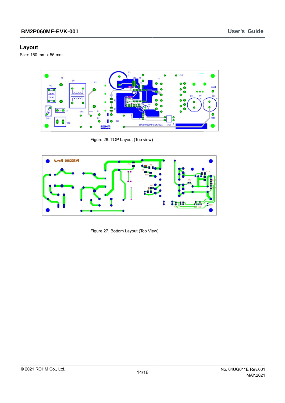#### Layout

Size: 160 mm x 55 mm



Figure 26. TOP Layout (Top view)



Figure 27. Bottom Layout (Top View)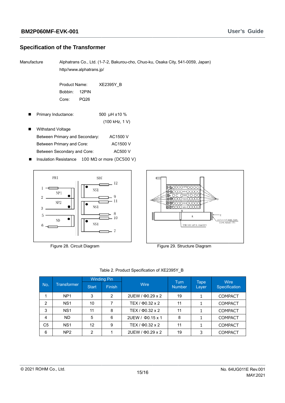#### **Specification of the Transformer**

Manufacture

Alphatrans Co., Ltd. (1-7-2, Bakurou-cho, Chuo-ku, Osaka City, 541-0059, Japan) http//www.alphatrans.jp/

Product Name: XE2395Y\_B Bobbin: 12PIN Core: **PQ26** 

Primary Inductance: 500 µH ±10 %  $\blacksquare$ (100 kHz, 1 V)

| ■ | <b>Withstand Voltage</b>       |          |
|---|--------------------------------|----------|
|   | Between Primary and Secondary: | AC1500 V |
|   | Between Primary and Core:      | AC1500 V |
|   | Between Secondary and Core:    | AC500 V  |
|   |                                |          |

Insulation Resistance 100 MΩ or more (DC500 V)  $\blacksquare$ 



Figure 28. Circuit Diagram



Figure 29. Structure Diagram

|                |                    |                | <b>Winding Pin</b> |                        | Turn          | <b>Tape</b> | <b>Wire</b>    |
|----------------|--------------------|----------------|--------------------|------------------------|---------------|-------------|----------------|
| No.            | <b>Transformer</b> | <b>Start</b>   | Finish.            | <b>Wire</b>            | <b>Number</b> | Layer       | Specification  |
|                | NP <sub>1</sub>    | 3              | 2                  | 2UEW / $\Phi$ 0.29 x 2 | 19            | 1           | <b>COMPACT</b> |
| 2              | NS <sub>1</sub>    | 10             |                    | TEX / $\Phi$ 0.32 x 2  | 11            |             | <b>COMPACT</b> |
| 3              | NS <sub>1</sub>    | 11             | 8                  | TEX / $\Phi$ 0.32 x 2  | 11            | 1           | <b>COMPACT</b> |
| 4              | <b>ND</b>          | 5              | 6                  | 2UEW / 00.15 x 1       | 8             |             | <b>COMPACT</b> |
| C <sub>5</sub> | NS <sub>1</sub>    | 12             | 9                  | TEX / $\Phi$ 0.32 x 2  | 11            |             | COMPACT        |
| 6              | NP <sub>2</sub>    | $\overline{2}$ |                    | 2UEW / $\Phi$ 0.29 x 2 | 19            | 3           | <b>COMPACT</b> |